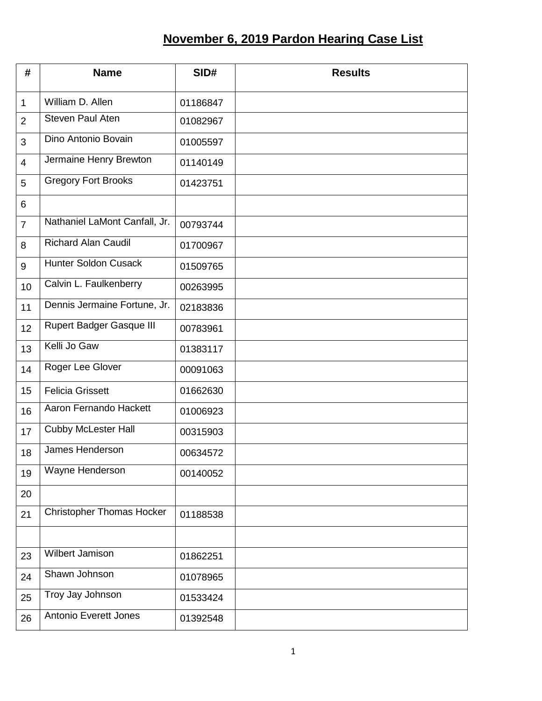## **November 6, 2019 Pardon Hearing Case List**

| #              | <b>Name</b>                      | SID#     | <b>Results</b> |
|----------------|----------------------------------|----------|----------------|
| $\mathbf 1$    | William D. Allen                 | 01186847 |                |
| $\overline{2}$ | <b>Steven Paul Aten</b>          | 01082967 |                |
| 3              | Dino Antonio Bovain              | 01005597 |                |
| $\overline{4}$ | Jermaine Henry Brewton           | 01140149 |                |
| 5              | <b>Gregory Fort Brooks</b>       | 01423751 |                |
| 6              |                                  |          |                |
| $\overline{7}$ | Nathaniel LaMont Canfall, Jr.    | 00793744 |                |
| 8              | <b>Richard Alan Caudil</b>       | 01700967 |                |
| 9              | <b>Hunter Soldon Cusack</b>      | 01509765 |                |
| 10             | Calvin L. Faulkenberry           | 00263995 |                |
| 11             | Dennis Jermaine Fortune, Jr.     | 02183836 |                |
| 12             | <b>Rupert Badger Gasque III</b>  | 00783961 |                |
| 13             | Kelli Jo Gaw                     | 01383117 |                |
| 14             | Roger Lee Glover                 | 00091063 |                |
| 15             | <b>Felicia Grissett</b>          | 01662630 |                |
| 16             | Aaron Fernando Hackett           | 01006923 |                |
| 17             | <b>Cubby McLester Hall</b>       | 00315903 |                |
| 18             | James Henderson                  | 00634572 |                |
| 19             | Wayne Henderson                  | 00140052 |                |
| 20             |                                  |          |                |
| 21             | <b>Christopher Thomas Hocker</b> | 01188538 |                |
|                |                                  |          |                |
| 23             | Wilbert Jamison                  | 01862251 |                |
| 24             | Shawn Johnson                    | 01078965 |                |
| 25             | Troy Jay Johnson                 | 01533424 |                |
| 26             | <b>Antonio Everett Jones</b>     | 01392548 |                |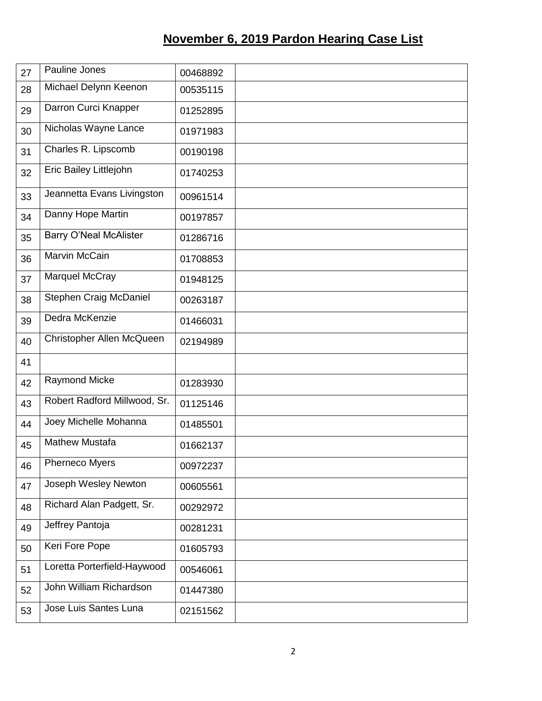## **November 6, 2019 Pardon Hearing Case List**

| 27 | Pauline Jones                 | 00468892 |  |
|----|-------------------------------|----------|--|
| 28 | Michael Delynn Keenon         | 00535115 |  |
| 29 | Darron Curci Knapper          | 01252895 |  |
| 30 | Nicholas Wayne Lance          | 01971983 |  |
| 31 | Charles R. Lipscomb           | 00190198 |  |
| 32 | Eric Bailey Littlejohn        | 01740253 |  |
| 33 | Jeannetta Evans Livingston    | 00961514 |  |
| 34 | Danny Hope Martin             | 00197857 |  |
| 35 | <b>Barry O'Neal McAlister</b> | 01286716 |  |
| 36 | Marvin McCain                 | 01708853 |  |
| 37 | Marquel McCray                | 01948125 |  |
| 38 | <b>Stephen Craig McDaniel</b> | 00263187 |  |
| 39 | Dedra McKenzie                | 01466031 |  |
| 40 | Christopher Allen McQueen     | 02194989 |  |
| 41 |                               |          |  |
| 42 | <b>Raymond Micke</b>          | 01283930 |  |
| 43 | Robert Radford Millwood, Sr.  | 01125146 |  |
| 44 | Joey Michelle Mohanna         | 01485501 |  |
| 45 | <b>Mathew Mustafa</b>         | 01662137 |  |
| 46 | Pherneco Myers                | 00972237 |  |
| 47 | Joseph Wesley Newton          | 00605561 |  |
| 48 | Richard Alan Padgett, Sr.     | 00292972 |  |
| 49 | Jeffrey Pantoja               | 00281231 |  |
| 50 | Keri Fore Pope                | 01605793 |  |
| 51 | Loretta Porterfield-Haywood   | 00546061 |  |
| 52 | John William Richardson       | 01447380 |  |
| 53 | Jose Luis Santes Luna         | 02151562 |  |